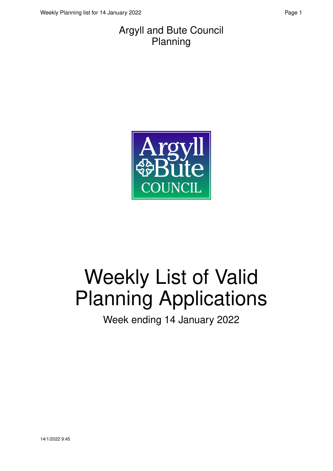#### Argyll and Bute Council Planning



# Weekly List of Valid Planning Applications

Week ending 14 January 2022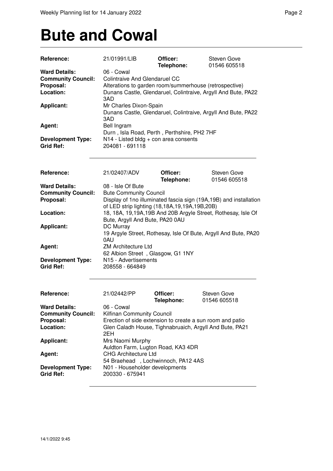### **Bute and Cowal**

| <b>Ward Details:</b><br>06 - Cowal<br><b>Community Council:</b><br><b>Colintraive And Glendaruel CC</b><br>Proposal:<br>Alterations to garden room/summerhouse (retrospective)<br>Location:<br>Dunans Castle, Glendaruel, Colintraive, Argyll And Bute, PA22<br>3AD<br>Mr Charles Dixon-Spain<br><b>Applicant:</b><br>Dunans Castle, Glendaruel, Colintraive, Argyll And Bute, PA22<br>3AD<br>Bell Ingram<br>Agent:<br>Durn, Isla Road, Perth, Perthshire, PH2 7HF<br>N14 - Listed bldg + con area consents<br><b>Development Type:</b><br><b>Grid Ref:</b><br>204081 - 691118<br>Reference:<br>21/02407/ADV<br>Officer:<br>Steven Gove<br>Telephone:<br>01546 605518<br><b>Ward Details:</b><br>08 - Isle Of Bute<br><b>Community Council:</b><br><b>Bute Community Council</b><br>Proposal:<br>Display of 1no illuminated fascia sign (19A,19B) and installation<br>of LED strip lighting (18,18A,19,19A,19B,20B)<br>18, 18A, 19, 19A, 19B And 20B Argyle Street, Rothesay, Isle Of<br>Location:<br>Bute, Argyll And Bute, PA20 0AU<br>DC Murray<br><b>Applicant:</b><br>19 Argyle Street, Rothesay, Isle Of Bute, Argyll And Bute, PA20<br>0AU<br><b>ZM Architecture Ltd</b><br>Agent:<br>62 Albion Street, Glasgow, G1 1NY<br><b>Development Type:</b><br>N <sub>15</sub> - Advertisements<br><b>Grid Ref:</b><br>208558 - 664849<br>Reference:<br>21/02442/PP<br>Officer:<br><b>Steven Gove</b><br>Telephone:<br>01546 605518<br>06 - Cowal<br><b>Ward Details:</b><br><b>Community Council:</b><br>Kilfinan Community Council<br>Proposal:<br>Erection of side extension to create a sun room and patio<br>Location:<br>Glen Caladh House, Tighnabruaich, Argyll And Bute, PA21<br>2EH<br><b>Applicant:</b><br>Mrs Naomi Murphy<br>Auldton Farm, Lugton Road, KA3 4DR<br><b>CHG Architecture Ltd</b><br>Agent:<br>54 Braehead, Lochwinnoch, PA12 4AS<br>N01 - Householder developments<br><b>Development Type:</b><br><b>Grid Ref:</b><br>200330 - 675941 | Reference: | 21/01991/LIB | Officer:<br>Telephone: | <b>Steven Gove</b><br>01546 605518 |
|-----------------------------------------------------------------------------------------------------------------------------------------------------------------------------------------------------------------------------------------------------------------------------------------------------------------------------------------------------------------------------------------------------------------------------------------------------------------------------------------------------------------------------------------------------------------------------------------------------------------------------------------------------------------------------------------------------------------------------------------------------------------------------------------------------------------------------------------------------------------------------------------------------------------------------------------------------------------------------------------------------------------------------------------------------------------------------------------------------------------------------------------------------------------------------------------------------------------------------------------------------------------------------------------------------------------------------------------------------------------------------------------------------------------------------------------------------------------------------------------------------------------------------------------------------------------------------------------------------------------------------------------------------------------------------------------------------------------------------------------------------------------------------------------------------------------------------------------------------------------------------------------------------------------------------------------------------------------|------------|--------------|------------------------|------------------------------------|
|                                                                                                                                                                                                                                                                                                                                                                                                                                                                                                                                                                                                                                                                                                                                                                                                                                                                                                                                                                                                                                                                                                                                                                                                                                                                                                                                                                                                                                                                                                                                                                                                                                                                                                                                                                                                                                                                                                                                                                 |            |              |                        |                                    |
|                                                                                                                                                                                                                                                                                                                                                                                                                                                                                                                                                                                                                                                                                                                                                                                                                                                                                                                                                                                                                                                                                                                                                                                                                                                                                                                                                                                                                                                                                                                                                                                                                                                                                                                                                                                                                                                                                                                                                                 |            |              |                        |                                    |
|                                                                                                                                                                                                                                                                                                                                                                                                                                                                                                                                                                                                                                                                                                                                                                                                                                                                                                                                                                                                                                                                                                                                                                                                                                                                                                                                                                                                                                                                                                                                                                                                                                                                                                                                                                                                                                                                                                                                                                 |            |              |                        |                                    |
|                                                                                                                                                                                                                                                                                                                                                                                                                                                                                                                                                                                                                                                                                                                                                                                                                                                                                                                                                                                                                                                                                                                                                                                                                                                                                                                                                                                                                                                                                                                                                                                                                                                                                                                                                                                                                                                                                                                                                                 |            |              |                        |                                    |
|                                                                                                                                                                                                                                                                                                                                                                                                                                                                                                                                                                                                                                                                                                                                                                                                                                                                                                                                                                                                                                                                                                                                                                                                                                                                                                                                                                                                                                                                                                                                                                                                                                                                                                                                                                                                                                                                                                                                                                 |            |              |                        |                                    |
|                                                                                                                                                                                                                                                                                                                                                                                                                                                                                                                                                                                                                                                                                                                                                                                                                                                                                                                                                                                                                                                                                                                                                                                                                                                                                                                                                                                                                                                                                                                                                                                                                                                                                                                                                                                                                                                                                                                                                                 |            |              |                        |                                    |
|                                                                                                                                                                                                                                                                                                                                                                                                                                                                                                                                                                                                                                                                                                                                                                                                                                                                                                                                                                                                                                                                                                                                                                                                                                                                                                                                                                                                                                                                                                                                                                                                                                                                                                                                                                                                                                                                                                                                                                 |            |              |                        |                                    |
|                                                                                                                                                                                                                                                                                                                                                                                                                                                                                                                                                                                                                                                                                                                                                                                                                                                                                                                                                                                                                                                                                                                                                                                                                                                                                                                                                                                                                                                                                                                                                                                                                                                                                                                                                                                                                                                                                                                                                                 |            |              |                        |                                    |
|                                                                                                                                                                                                                                                                                                                                                                                                                                                                                                                                                                                                                                                                                                                                                                                                                                                                                                                                                                                                                                                                                                                                                                                                                                                                                                                                                                                                                                                                                                                                                                                                                                                                                                                                                                                                                                                                                                                                                                 |            |              |                        |                                    |
|                                                                                                                                                                                                                                                                                                                                                                                                                                                                                                                                                                                                                                                                                                                                                                                                                                                                                                                                                                                                                                                                                                                                                                                                                                                                                                                                                                                                                                                                                                                                                                                                                                                                                                                                                                                                                                                                                                                                                                 |            |              |                        |                                    |
|                                                                                                                                                                                                                                                                                                                                                                                                                                                                                                                                                                                                                                                                                                                                                                                                                                                                                                                                                                                                                                                                                                                                                                                                                                                                                                                                                                                                                                                                                                                                                                                                                                                                                                                                                                                                                                                                                                                                                                 |            |              |                        |                                    |
|                                                                                                                                                                                                                                                                                                                                                                                                                                                                                                                                                                                                                                                                                                                                                                                                                                                                                                                                                                                                                                                                                                                                                                                                                                                                                                                                                                                                                                                                                                                                                                                                                                                                                                                                                                                                                                                                                                                                                                 |            |              |                        |                                    |
|                                                                                                                                                                                                                                                                                                                                                                                                                                                                                                                                                                                                                                                                                                                                                                                                                                                                                                                                                                                                                                                                                                                                                                                                                                                                                                                                                                                                                                                                                                                                                                                                                                                                                                                                                                                                                                                                                                                                                                 |            |              |                        |                                    |
|                                                                                                                                                                                                                                                                                                                                                                                                                                                                                                                                                                                                                                                                                                                                                                                                                                                                                                                                                                                                                                                                                                                                                                                                                                                                                                                                                                                                                                                                                                                                                                                                                                                                                                                                                                                                                                                                                                                                                                 |            |              |                        |                                    |
|                                                                                                                                                                                                                                                                                                                                                                                                                                                                                                                                                                                                                                                                                                                                                                                                                                                                                                                                                                                                                                                                                                                                                                                                                                                                                                                                                                                                                                                                                                                                                                                                                                                                                                                                                                                                                                                                                                                                                                 |            |              |                        |                                    |
|                                                                                                                                                                                                                                                                                                                                                                                                                                                                                                                                                                                                                                                                                                                                                                                                                                                                                                                                                                                                                                                                                                                                                                                                                                                                                                                                                                                                                                                                                                                                                                                                                                                                                                                                                                                                                                                                                                                                                                 |            |              |                        |                                    |
|                                                                                                                                                                                                                                                                                                                                                                                                                                                                                                                                                                                                                                                                                                                                                                                                                                                                                                                                                                                                                                                                                                                                                                                                                                                                                                                                                                                                                                                                                                                                                                                                                                                                                                                                                                                                                                                                                                                                                                 |            |              |                        |                                    |
|                                                                                                                                                                                                                                                                                                                                                                                                                                                                                                                                                                                                                                                                                                                                                                                                                                                                                                                                                                                                                                                                                                                                                                                                                                                                                                                                                                                                                                                                                                                                                                                                                                                                                                                                                                                                                                                                                                                                                                 |            |              |                        |                                    |
|                                                                                                                                                                                                                                                                                                                                                                                                                                                                                                                                                                                                                                                                                                                                                                                                                                                                                                                                                                                                                                                                                                                                                                                                                                                                                                                                                                                                                                                                                                                                                                                                                                                                                                                                                                                                                                                                                                                                                                 |            |              |                        |                                    |
|                                                                                                                                                                                                                                                                                                                                                                                                                                                                                                                                                                                                                                                                                                                                                                                                                                                                                                                                                                                                                                                                                                                                                                                                                                                                                                                                                                                                                                                                                                                                                                                                                                                                                                                                                                                                                                                                                                                                                                 |            |              |                        |                                    |
|                                                                                                                                                                                                                                                                                                                                                                                                                                                                                                                                                                                                                                                                                                                                                                                                                                                                                                                                                                                                                                                                                                                                                                                                                                                                                                                                                                                                                                                                                                                                                                                                                                                                                                                                                                                                                                                                                                                                                                 |            |              |                        |                                    |
|                                                                                                                                                                                                                                                                                                                                                                                                                                                                                                                                                                                                                                                                                                                                                                                                                                                                                                                                                                                                                                                                                                                                                                                                                                                                                                                                                                                                                                                                                                                                                                                                                                                                                                                                                                                                                                                                                                                                                                 |            |              |                        |                                    |
|                                                                                                                                                                                                                                                                                                                                                                                                                                                                                                                                                                                                                                                                                                                                                                                                                                                                                                                                                                                                                                                                                                                                                                                                                                                                                                                                                                                                                                                                                                                                                                                                                                                                                                                                                                                                                                                                                                                                                                 |            |              |                        |                                    |
|                                                                                                                                                                                                                                                                                                                                                                                                                                                                                                                                                                                                                                                                                                                                                                                                                                                                                                                                                                                                                                                                                                                                                                                                                                                                                                                                                                                                                                                                                                                                                                                                                                                                                                                                                                                                                                                                                                                                                                 |            |              |                        |                                    |
|                                                                                                                                                                                                                                                                                                                                                                                                                                                                                                                                                                                                                                                                                                                                                                                                                                                                                                                                                                                                                                                                                                                                                                                                                                                                                                                                                                                                                                                                                                                                                                                                                                                                                                                                                                                                                                                                                                                                                                 |            |              |                        |                                    |
|                                                                                                                                                                                                                                                                                                                                                                                                                                                                                                                                                                                                                                                                                                                                                                                                                                                                                                                                                                                                                                                                                                                                                                                                                                                                                                                                                                                                                                                                                                                                                                                                                                                                                                                                                                                                                                                                                                                                                                 |            |              |                        |                                    |
|                                                                                                                                                                                                                                                                                                                                                                                                                                                                                                                                                                                                                                                                                                                                                                                                                                                                                                                                                                                                                                                                                                                                                                                                                                                                                                                                                                                                                                                                                                                                                                                                                                                                                                                                                                                                                                                                                                                                                                 |            |              |                        |                                    |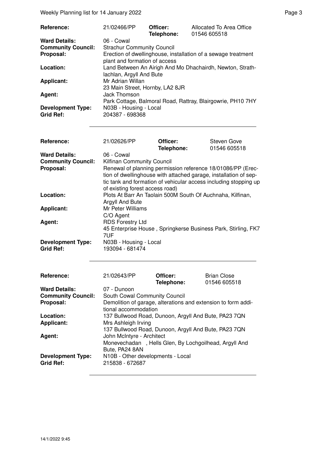Weekly Planning list for 14 January 2022 **Page 3** Page 3

| Reference:                | 21/02466/PP                                                                                    | Officer:<br>Telephone: | Allocated To Area Office<br>01546 605518                    |  |
|---------------------------|------------------------------------------------------------------------------------------------|------------------------|-------------------------------------------------------------|--|
| <b>Ward Details:</b>      | 06 - Cowal                                                                                     |                        |                                                             |  |
| <b>Community Council:</b> | <b>Strachur Community Council</b>                                                              |                        |                                                             |  |
| Proposal:                 | Erection of dwellinghouse, installation of a sewage treatment<br>plant and formation of access |                        |                                                             |  |
| Location:                 | Land Between An Airigh And Mo Dhachairdh, Newton, Strath-<br>lachlan, Argyll And Bute          |                        |                                                             |  |
| <b>Applicant:</b>         | Mr Adrian Willan<br>23 Main Street, Hornby, LA2 8JR                                            |                        |                                                             |  |
| Agent:                    | Jack Thomson                                                                                   |                        | Park Cottage, Balmoral Road, Rattray, Blairgowrie, PH10 7HY |  |
| <b>Development Type:</b>  | N03B - Housing - Local                                                                         |                        |                                                             |  |
| <b>Grid Ref:</b>          | 204387 - 698368                                                                                |                        |                                                             |  |

| <b>Reference:</b>                            | 21/02626/PP                                                                                                                                                                                                                            | Officer:<br>Telephone: | Steven Gove<br>01546 605518 |
|----------------------------------------------|----------------------------------------------------------------------------------------------------------------------------------------------------------------------------------------------------------------------------------------|------------------------|-----------------------------|
| <b>Ward Details:</b>                         | 06 - Cowal                                                                                                                                                                                                                             |                        |                             |
| <b>Community Council:</b>                    | Kilfinan Community Council                                                                                                                                                                                                             |                        |                             |
| Proposal:                                    | Renewal of planning permission reference 18/01086/PP (Erec-<br>tion of dwellinghouse with attached garage, installation of sep-<br>tic tank and formation of vehicular access including stopping up<br>of existing forest access road) |                        |                             |
| Location:                                    | Plots At Barr An Taolain 500M South Of Auchnaha, Kilfinan,<br>Argyll And Bute                                                                                                                                                          |                        |                             |
| <b>Applicant:</b>                            | Mr Peter Williams<br>C/O Agent                                                                                                                                                                                                         |                        |                             |
| Agent:                                       | <b>RDS Forestry Ltd</b><br>45 Enterprise House, Springkerse Business Park, Stirling, FK7<br>7UF                                                                                                                                        |                        |                             |
| <b>Development Type:</b><br><b>Grid Ref:</b> | N03B - Housing - Local<br>193094 - 681474                                                                                                                                                                                              |                        |                             |

| Reference:                                   | 21/02643/PP                                                                           | Officer:<br>Telephone: | <b>Brian Close</b><br>01546 605518 |
|----------------------------------------------|---------------------------------------------------------------------------------------|------------------------|------------------------------------|
| <b>Ward Details:</b>                         | 07 - Dunoon                                                                           |                        |                                    |
| <b>Community Council:</b>                    | South Cowal Community Council                                                         |                        |                                    |
| Proposal:                                    | Demolition of garage, alterations and extension to form addi-<br>tional accommodation |                        |                                    |
| Location:                                    | 137 Bullwood Road, Dunoon, Argyll And Bute, PA23 7QN                                  |                        |                                    |
| <b>Applicant:</b>                            | Mrs Ashleigh Irving                                                                   |                        |                                    |
|                                              | 137 Bullwood Road, Dunoon, Argyll And Bute, PA23 7QN                                  |                        |                                    |
| Agent:                                       | John McIntyre - Architect                                                             |                        |                                    |
|                                              | Monevechadan, Hells Glen, By Lochgoilhead, Argyll And<br>Bute, PA24 8AN               |                        |                                    |
| <b>Development Type:</b><br><b>Grid Ref:</b> | N10B - Other developments - Local<br>215838 - 672687                                  |                        |                                    |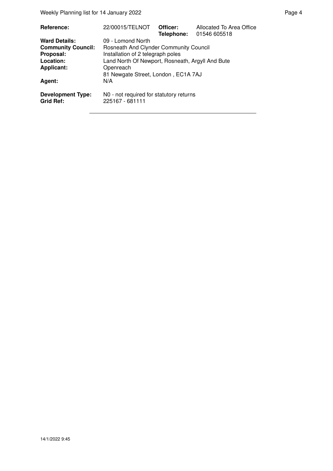Weekly Planning list for 14 January 2022 **Page 4** and the US and the Page 4

| Reference:                                   | 22/00015/TELNOT                                            | Officer:<br>Telephone: | Allocated To Area Office<br>01546 605518 |  |
|----------------------------------------------|------------------------------------------------------------|------------------------|------------------------------------------|--|
| <b>Ward Details:</b>                         | 09 - Lomond North                                          |                        |                                          |  |
| <b>Community Council:</b>                    | Rosneath And Clynder Community Council                     |                        |                                          |  |
| Proposal:                                    | Installation of 2 telegraph poles                          |                        |                                          |  |
| Location:                                    | Land North Of Newport, Rosneath, Argyll And Bute           |                        |                                          |  |
| <b>Applicant:</b>                            | Openreach                                                  |                        |                                          |  |
|                                              | 81 Newgate Street, London, EC1A 7AJ                        |                        |                                          |  |
| Agent:                                       | N/A                                                        |                        |                                          |  |
| <b>Development Type:</b><br><b>Grid Ref:</b> | N0 - not required for statutory returns<br>225167 - 681111 |                        |                                          |  |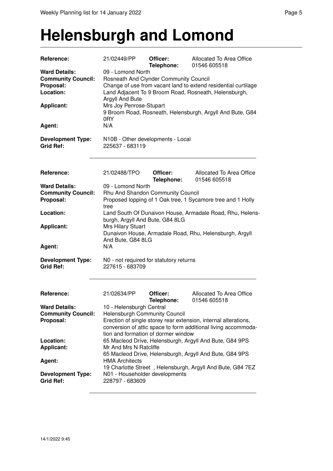#### **Helensburgh and Lomond**

| Reference:                                                                  | 21/02449/PP                                                                                                                                                                                                                                                                              | Officer:<br>Telephone: | Allocated To Area Office<br>01546 605518                  |  |  |
|-----------------------------------------------------------------------------|------------------------------------------------------------------------------------------------------------------------------------------------------------------------------------------------------------------------------------------------------------------------------------------|------------------------|-----------------------------------------------------------|--|--|
| <b>Ward Details:</b><br><b>Community Council:</b><br>Proposal:<br>Location: | 09 - Lomond North<br>Rosneath And Clynder Community Council<br>Change of use from vacant land to extend residential curtilage<br>Land Adjacent To 9 Broom Road, Rosneath, Helensburgh,                                                                                                   |                        |                                                           |  |  |
| <b>Applicant:</b>                                                           | Argyll And Bute<br>Mrs Joy Penrose-Stupart<br>0RY                                                                                                                                                                                                                                        |                        | 9 Broom Road, Rosneath, Helensburgh, Argyll And Bute, G84 |  |  |
| Agent:                                                                      | N/A                                                                                                                                                                                                                                                                                      |                        |                                                           |  |  |
| <b>Development Type:</b><br><b>Grid Ref:</b>                                | N10B - Other developments - Local<br>225637 - 683119                                                                                                                                                                                                                                     |                        |                                                           |  |  |
| Reference:                                                                  | 21/02488/TPO                                                                                                                                                                                                                                                                             | Officer:<br>Telephone: | Allocated To Area Office<br>01546 605518                  |  |  |
| <b>Ward Details:</b><br><b>Community Council:</b><br>Proposal:              | 09 - Lomond North<br>Rhu And Shandon Community Council<br>Proposed lopping of 1 Oak tree, 1 Sycamore tree and 1 Holly<br>tree                                                                                                                                                            |                        |                                                           |  |  |
| Location:                                                                   | Land South Of Dunaivon House, Armadale Road, Rhu, Helens-<br>burgh, Argyll And Bute, G84 8LG                                                                                                                                                                                             |                        |                                                           |  |  |
| <b>Applicant:</b>                                                           | <b>Mrs Hilary Stuart</b><br>Dunaivon House, Armadale Road, Rhu, Helensburgh, Argyll<br>And Bute, G84 8LG                                                                                                                                                                                 |                        |                                                           |  |  |
| Agent:                                                                      | N/A                                                                                                                                                                                                                                                                                      |                        |                                                           |  |  |
| <b>Development Type:</b><br><b>Grid Ref:</b>                                | N0 - not required for statutory returns<br>227615 - 683709                                                                                                                                                                                                                               |                        |                                                           |  |  |
| Reference:                                                                  | 21/02634/PP                                                                                                                                                                                                                                                                              | Officer:<br>Telephone: | Allocated To Area Office<br>01546 605518                  |  |  |
| <b>Ward Details:</b><br><b>Community Council:</b><br>Proposal:              | 10 - Helensburgh Central<br><b>Helensburgh Community Council</b><br>Erection of single storey rear extension, internal alterations,<br>conversion of attic space to form additional living accommoda-<br>tion and formation of dormer window                                             |                        |                                                           |  |  |
| Location:<br><b>Applicant:</b>                                              | 65 Macleod Drive, Helensburgh, Argyll And Bute, G84 9PS<br>Mr And Mrs N Ratcliffe<br>65 Macleod Drive, Helensburgh, Argyll And Bute, G84 9PS<br><b>HMA Architects</b><br>19 Charlotte Street, Helensburgh, Argyll And Bute, G84 7EZ<br>N01 - Householder developments<br>228797 - 683609 |                        |                                                           |  |  |
| Agent:<br><b>Development Type:</b><br><b>Grid Ref:</b>                      |                                                                                                                                                                                                                                                                                          |                        |                                                           |  |  |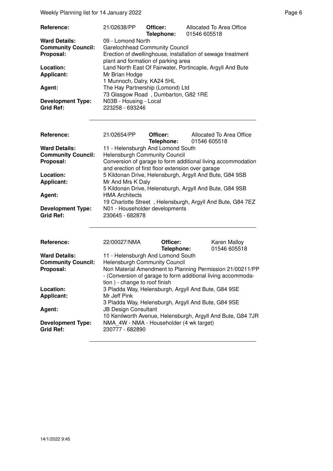Weekly Planning list for 14 January 2022 **Page 6** and the entry of the Page 6

| Reference:                                                     | 21/02638/PP                                                                                                                                                      | Officer:<br>Telephone: | 01546 605518 | Allocated To Area Office                                                                                                  |  |
|----------------------------------------------------------------|------------------------------------------------------------------------------------------------------------------------------------------------------------------|------------------------|--------------|---------------------------------------------------------------------------------------------------------------------------|--|
| <b>Ward Details:</b><br><b>Community Council:</b><br>Proposal: | 09 - Lomond North<br><b>Garelochhead Community Council</b><br>Erection of dwellinghouse, installation of sewage treatment<br>plant and formation of parking area |                        |              |                                                                                                                           |  |
| Location:<br><b>Applicant:</b>                                 | Land North East Of Fairwater, Portincaple, Argyll And Bute<br>Mr Brian Hodge<br>1 Munnoch, Dalry, KA24 5HL                                                       |                        |              |                                                                                                                           |  |
| Agent:                                                         | The Hay Partnership (Lomond) Ltd<br>73 Glasgow Road, Dumbarton, G82 1RE                                                                                          |                        |              |                                                                                                                           |  |
| <b>Development Type:</b><br><b>Grid Ref:</b>                   | N03B - Housing - Local<br>223258 - 693246                                                                                                                        |                        |              |                                                                                                                           |  |
| Reference:                                                     | 21/02654/PP                                                                                                                                                      | Officer:<br>Telephone: | 01546 605518 | Allocated To Area Office                                                                                                  |  |
| <b>Ward Details:</b>                                           | 11 - Helensburgh And Lomond South                                                                                                                                |                        |              |                                                                                                                           |  |
| <b>Community Council:</b>                                      | <b>Helensburgh Community Council</b>                                                                                                                             |                        |              |                                                                                                                           |  |
| Proposal:                                                      |                                                                                                                                                                  |                        |              | Conversion of garage to form additional living accommodation                                                              |  |
|                                                                | and erection of first floor extension over garage                                                                                                                |                        |              |                                                                                                                           |  |
| Location:                                                      | 5 Kildonan Drive, Helensburgh, Argyll And Bute, G84 9SB                                                                                                          |                        |              |                                                                                                                           |  |
| <b>Applicant:</b>                                              | Mr And Mrs K Daly                                                                                                                                                |                        |              |                                                                                                                           |  |
| Agent:                                                         | 5 Kildonan Drive, Helensburgh, Argyll And Bute, G84 9SB<br><b>HMA Architects</b>                                                                                 |                        |              |                                                                                                                           |  |
|                                                                |                                                                                                                                                                  |                        |              |                                                                                                                           |  |
| <b>Development Type:</b><br><b>Grid Ref:</b>                   | 19 Charlotte Street, Helensburgh, Argyll And Bute, G84 7EZ<br>N01 - Householder developments<br>230645 - 682878                                                  |                        |              |                                                                                                                           |  |
| Reference:                                                     | 22/00027/NMA                                                                                                                                                     | Officer:<br>Telephone: |              | Karen Malloy<br>01546 605518                                                                                              |  |
| <b>Ward Details:</b>                                           | 11 - Helensburgh And Lomond South                                                                                                                                |                        |              |                                                                                                                           |  |
| <b>Community Council:</b>                                      | <b>Helensburgh Community Council</b>                                                                                                                             |                        |              |                                                                                                                           |  |
| Proposal:                                                      | tion) - change to roof finish                                                                                                                                    |                        |              | Non Material Amendment to Planning Permission 21/00211/PP<br>- (Conversion of garage to form additional living accommoda- |  |
| Location:                                                      | 3 Pladda Way, Helensburgh, Argyll And Bute, G84 9SE                                                                                                              |                        |              |                                                                                                                           |  |
| <b>Applicant:</b>                                              | Mr Jeff Pink                                                                                                                                                     |                        |              |                                                                                                                           |  |
|                                                                | 3 Pladda Way, Helensburgh, Argyll And Bute, G84 9SE                                                                                                              |                        |              |                                                                                                                           |  |
| Agent:                                                         | <b>JB Design Consultant</b>                                                                                                                                      |                        |              |                                                                                                                           |  |
|                                                                |                                                                                                                                                                  |                        |              | 10 Kenilworth Avenue, Helensburgh, Argyll And Bute, G84 7JR                                                               |  |
| <b>Development Type:</b><br><b>Grid Ref:</b>                   | NMA_4W - NMA - Householder (4 wk target)<br>230777 - 682890                                                                                                      |                        |              |                                                                                                                           |  |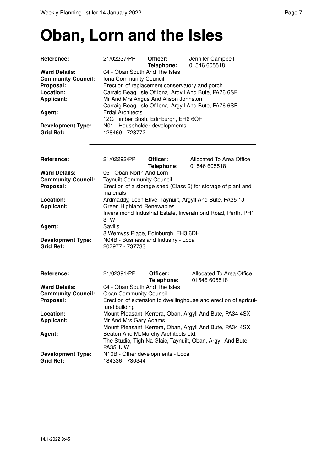#### **Oban, Lorn and the Isles**

| Reference:                                   | 21/02237/PP                       | Officer:                                       | Jennifer Campbell                                               |
|----------------------------------------------|-----------------------------------|------------------------------------------------|-----------------------------------------------------------------|
|                                              |                                   | Telephone:                                     | 01546 605518                                                    |
| <b>Ward Details:</b>                         | 04 - Oban South And The Isles     |                                                |                                                                 |
| <b>Community Council:</b>                    | Iona Community Council            |                                                |                                                                 |
| Proposal:<br>Location:                       |                                   | Erection of replacement conservatory and porch |                                                                 |
| <b>Applicant:</b>                            |                                   |                                                | Carraig Beag, Isle Of Iona, Argyll And Bute, PA76 6SP           |
|                                              |                                   | Mr And Mrs Angus And Alison Johnston           | Carraig Beag, Isle Of Iona, Argyll And Bute, PA76 6SP           |
| Agent:                                       | <b>Erdal Architects</b>           |                                                |                                                                 |
|                                              |                                   | 12G Timber Bush, Edinburgh, EH6 6QH            |                                                                 |
| <b>Development Type:</b>                     | N01 - Householder developments    |                                                |                                                                 |
| <b>Grid Ref:</b>                             | 128469 - 723772                   |                                                |                                                                 |
|                                              |                                   |                                                |                                                                 |
| Reference:                                   | 21/02292/PP                       | Officer:<br>Telephone:                         | Allocated To Area Office<br>01546 605518                        |
| <b>Ward Details:</b>                         | 05 - Oban North And Lorn          |                                                |                                                                 |
| <b>Community Council:</b>                    | <b>Taynuilt Community Council</b> |                                                |                                                                 |
| Proposal:                                    |                                   |                                                | Erection of a storage shed (Class 6) for storage of plant and   |
|                                              | materials                         |                                                |                                                                 |
| Location:                                    |                                   |                                                | Ardmaddy, Loch Etive, Taynuilt, Argyll And Bute, PA35 1JT       |
| <b>Applicant:</b>                            | <b>Green Highland Renewables</b>  |                                                |                                                                 |
|                                              |                                   |                                                | Inveralmond Industrial Estate, Inveralmond Road, Perth, PH1     |
|                                              | 3TW                               |                                                |                                                                 |
| Agent:                                       | Savills                           |                                                |                                                                 |
|                                              |                                   | 8 Wemyss Place, Edinburgh, EH3 6DH             |                                                                 |
| <b>Development Type:</b><br><b>Grid Ref:</b> | 207977 - 737733                   | N04B - Business and Industry - Local           |                                                                 |
|                                              |                                   |                                                |                                                                 |
| Reference:                                   | 21/02391/PP                       | Officer:<br>Telephone:                         | Allocated To Area Office<br>01546 605518                        |
| <b>Ward Details:</b>                         | 04 - Oban South And The Isles     |                                                |                                                                 |
| <b>Community Council:</b>                    | <b>Oban Community Council</b>     |                                                |                                                                 |
| Proposal:                                    |                                   |                                                | Erection of extension to dwellinghouse and erection of agricul- |
|                                              | tural building                    |                                                |                                                                 |
| Location:                                    |                                   |                                                | Mount Pleasant, Kerrera, Oban, Argyll And Bute, PA34 4SX        |
| <b>Applicant:</b>                            | Mr And Mrs Gary Adams             |                                                |                                                                 |
|                                              |                                   |                                                | Mount Pleasant, Kerrera, Oban, Argyll And Bute, PA34 4SX        |
| Agent:                                       |                                   | Beaton And McMurchy Architects Ltd.            |                                                                 |
|                                              |                                   |                                                | The Studio, Tigh Na Glaic, Taynuilt, Oban, Argyll And Bute,     |
|                                              | PA35 1JW                          |                                                |                                                                 |
| <b>Development Type:</b>                     |                                   | N10B - Other developments - Local              |                                                                 |
| <b>Grid Ref:</b>                             | 184336 - 730344                   |                                                |                                                                 |
|                                              |                                   |                                                |                                                                 |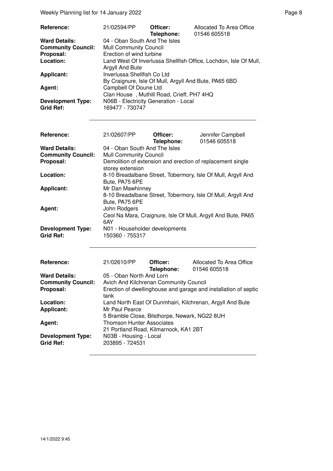Weekly Planning list for 14 January 2022 **Page 8** Page 8

| Reference:                | 21/02594/PP                                                      | Officer:<br>Telephone:                    | Allocated To Area Office<br>01546 605518              |
|---------------------------|------------------------------------------------------------------|-------------------------------------------|-------------------------------------------------------|
| <b>Ward Details:</b>      | 04 - Oban South And The Isles                                    |                                           |                                                       |
| <b>Community Council:</b> | <b>Mull Community Council</b>                                    |                                           |                                                       |
| Proposal:                 | Erection of wind turbine                                         |                                           |                                                       |
| Location:                 | Land West Of Inverlussa Shellfish Office, Lochdon, Isle Of Mull, |                                           |                                                       |
|                           | Argyll And Bute                                                  |                                           |                                                       |
| <b>Applicant:</b>         | Inverlussa Shellfish Co Ltd                                      |                                           |                                                       |
|                           |                                                                  |                                           | By Craignure, Isle Of Mull, Argyll And Bute, PA65 6BD |
| Agent:                    | Campbell Of Doune Ltd                                            |                                           |                                                       |
|                           |                                                                  | Clan House, Muthill Road, Crieff, PH7 4HQ |                                                       |
| <b>Development Type:</b>  |                                                                  | N06B - Electricity Generation - Local     |                                                       |
| <b>Grid Ref:</b>          | 169477 - 730747                                                  |                                           |                                                       |

| <b>Reference:</b>                            | 21/02607/PP                                              | Officer:<br>Telephone: | Jennifer Campbell<br>01546 605518                                                                                            |
|----------------------------------------------|----------------------------------------------------------|------------------------|------------------------------------------------------------------------------------------------------------------------------|
| <b>Ward Details:</b>                         | 04 - Oban South And The Isles                            |                        |                                                                                                                              |
| <b>Community Council:</b>                    | <b>Mull Community Council</b>                            |                        |                                                                                                                              |
| Proposal:                                    | storey extension                                         |                        | Demolition of extension and erection of replacement single                                                                   |
| Location:                                    | Bute, PA75 6PE                                           |                        | 8-10 Breadalbane Street, Tobermory, Isle Of Mull, Argyll And                                                                 |
| <b>Applicant:</b>                            | Mr Dan Mawhinney                                         |                        |                                                                                                                              |
| Agent:                                       | Bute, PA75 6PE<br>John Rodgers                           |                        | 8-10 Breadalbane Street, Tobermory, Isle Of Mull, Argyll And<br>Ceol Na Mara, Craignure, Isle Of Mull, Argyll And Bute, PA65 |
| <b>Development Type:</b><br><b>Grid Ref:</b> | 6AY<br>N01 - Householder developments<br>150360 - 755317 |                        |                                                                                                                              |

| Reference:                                   | 21/02610/PP                                                             | Officer:<br>Telephone: | Allocated To Area Office<br>01546 605518 |  |
|----------------------------------------------|-------------------------------------------------------------------------|------------------------|------------------------------------------|--|
| <b>Ward Details:</b>                         | 05 - Oban North And Lorn                                                |                        |                                          |  |
| <b>Community Council:</b>                    | Avich And Kilchrenan Community Council                                  |                        |                                          |  |
| Proposal:                                    | Erection of dwellinghouse and garage and installation of septic<br>tank |                        |                                          |  |
| Location:                                    | Land North East Of Dunmhairi, Kilchrenan, Argyll And Bute               |                        |                                          |  |
| <b>Applicant:</b>                            | Mr Paul Pearce<br>5 Bramble Close, Bilsthorpe, Newark, NG22 8UH         |                        |                                          |  |
| Agent:                                       | <b>Thomson Hunter Associates</b>                                        |                        |                                          |  |
|                                              | 21 Portland Road, Kilmarnock, KA1 2BT                                   |                        |                                          |  |
| <b>Development Type:</b><br><b>Grid Ref:</b> | N03B - Housing - Local<br>203895 - 724531                               |                        |                                          |  |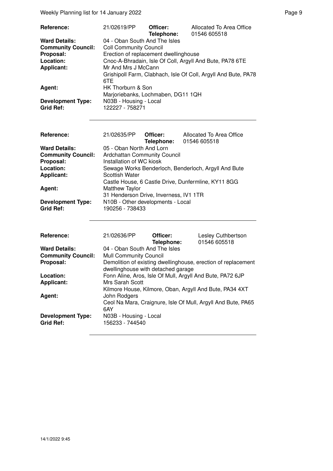Weekly Planning list for 14 January 2022 **Page 9** and the extent of the Page 9

| 21/02619/PP     | Officer:<br>Telephone: | Allocated To Area Office<br>01546 605518                                                                                                                                                                                                                                                                                                          |
|-----------------|------------------------|---------------------------------------------------------------------------------------------------------------------------------------------------------------------------------------------------------------------------------------------------------------------------------------------------------------------------------------------------|
|                 |                        |                                                                                                                                                                                                                                                                                                                                                   |
|                 |                        |                                                                                                                                                                                                                                                                                                                                                   |
|                 |                        |                                                                                                                                                                                                                                                                                                                                                   |
|                 |                        |                                                                                                                                                                                                                                                                                                                                                   |
|                 |                        |                                                                                                                                                                                                                                                                                                                                                   |
| 6TE             |                        |                                                                                                                                                                                                                                                                                                                                                   |
|                 |                        |                                                                                                                                                                                                                                                                                                                                                   |
|                 |                        |                                                                                                                                                                                                                                                                                                                                                   |
|                 |                        |                                                                                                                                                                                                                                                                                                                                                   |
| 122227 - 758271 |                        |                                                                                                                                                                                                                                                                                                                                                   |
|                 |                        |                                                                                                                                                                                                                                                                                                                                                   |
|                 |                        |                                                                                                                                                                                                                                                                                                                                                   |
|                 |                        | 04 - Oban South And The Isles<br><b>Coll Community Council</b><br>Erection of replacement dwellinghouse<br>Cnoc-A-Bhradain, Isle Of Coll, Argyll And Bute, PA78 6TE<br>Mr And Mrs J McCann<br>Grishipoll Farm, Clabhach, Isle Of Coll, Argyll And Bute, PA78<br>HK Thorburn & Son<br>Marjoriebanks, Lochmaben, DG11 1QH<br>N03B - Housing - Local |

| Reference:                | 21/02635/PP              | Officer:                               | Allocated To Area Office                             |  |  |
|---------------------------|--------------------------|----------------------------------------|------------------------------------------------------|--|--|
|                           |                          |                                        | Telephone: 01546 605518                              |  |  |
| <b>Ward Details:</b>      | 05 - Oban North And Lorn |                                        |                                                      |  |  |
| <b>Community Council:</b> |                          | <b>Ardchattan Community Council</b>    |                                                      |  |  |
| Proposal:                 | Installation of WC kiosk |                                        |                                                      |  |  |
| Location:                 |                          |                                        | Sewage Works Benderloch, Benderloch, Argyll And Bute |  |  |
| <b>Applicant:</b>         | <b>Scottish Water</b>    |                                        |                                                      |  |  |
|                           |                          |                                        | Castle House, 6 Castle Drive, Dunfermline, KY11 8GG  |  |  |
| Agent:                    | <b>Matthew Taylor</b>    |                                        |                                                      |  |  |
|                           |                          | 31 Henderson Drive, Inverness, IV1 1TR |                                                      |  |  |
| <b>Development Type:</b>  |                          | N10B - Other developments - Local      |                                                      |  |  |
| <b>Grid Ref:</b>          | 190256 - 738433          |                                        |                                                      |  |  |
|                           |                          |                                        |                                                      |  |  |
|                           |                          |                                        |                                                      |  |  |
|                           |                          |                                        |                                                      |  |  |
| <b>Reference:</b>         | 21/02636/PP              | Officer:                               | Lesley Cuthbertson                                   |  |  |
|                           |                          | Telephone:                             | 01546 605518                                         |  |  |

| ,,,,,,,,,,,,,             | <u>LII ULUU III</u>                | -------    | LUUIU VUUINUI LUUI I                                          |
|---------------------------|------------------------------------|------------|---------------------------------------------------------------|
|                           |                                    | Telephone: | 01546 605518                                                  |
| <b>Ward Details:</b>      | 04 - Oban South And The Isles      |            |                                                               |
| <b>Community Council:</b> | <b>Mull Community Council</b>      |            |                                                               |
| Proposal:                 |                                    |            | Demolition of existing dwellinghouse, erection of replacement |
|                           | dwellinghouse with detached garage |            |                                                               |
| Location:                 |                                    |            | Fonn Aline, Aros, Isle Of Mull, Argyll And Bute, PA72 6JP     |
| <b>Applicant:</b>         | Mrs Sarah Scott                    |            |                                                               |
|                           |                                    |            | Kilmore House, Kilmore, Oban, Argyll And Bute, PA34 4XT       |
| Agent:                    | John Rodgers                       |            |                                                               |
|                           |                                    |            | Ceol Na Mara, Craignure, Isle Of Mull, Argyll And Bute, PA65  |
|                           | 6AY                                |            |                                                               |
| <b>Development Type:</b>  | N03B - Housing - Local             |            |                                                               |
| <b>Grid Ref:</b>          | 156233 - 744540                    |            |                                                               |
|                           |                                    |            |                                                               |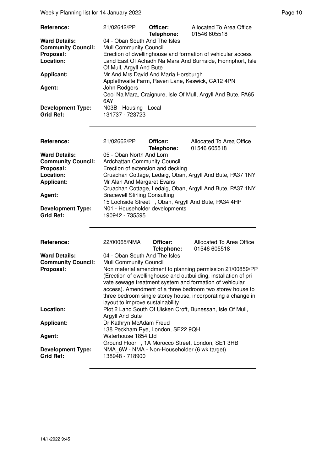Weekly Planning list for 14 January 2022 **Page 10** Neekly Planning list for 14 January 2022

| Reference:                | 21/02642/PP                          | Officer:<br>Telephone: | Allocated To Area Office<br>01546 605518                     |
|---------------------------|--------------------------------------|------------------------|--------------------------------------------------------------|
| <b>Ward Details:</b>      | 04 - Oban South And The Isles        |                        |                                                              |
| <b>Community Council:</b> | <b>Mull Community Council</b>        |                        |                                                              |
| Proposal:                 |                                      |                        | Erection of dwellinghouse and formation of vehicular access  |
| Location:                 |                                      |                        | Land East Of Achadh Na Mara And Burnside, Fionnphort, Isle   |
|                           | Of Mull, Argyll And Bute             |                        |                                                              |
| <b>Applicant:</b>         | Mr And Mrs David And Maria Horsburgh |                        |                                                              |
|                           |                                      |                        | Applethwaite Farm, Raven Lane, Keswick, CA12 4PN             |
| Agent:                    | John Rodgers                         |                        |                                                              |
|                           |                                      |                        | Ceol Na Mara, Craignure, Isle Of Mull, Argyll And Bute, PA65 |
|                           | 6AY                                  |                        |                                                              |
| <b>Development Type:</b>  | N03B - Housing - Local               |                        |                                                              |
| <b>Grid Ref:</b>          | 131737 - 723723                      |                        |                                                              |

| Reference:                                   | 21/02662/PP                                                                                                                                              | Officer:<br>Telephone: | Allocated To Area Office<br>01546 605518 |  |
|----------------------------------------------|----------------------------------------------------------------------------------------------------------------------------------------------------------|------------------------|------------------------------------------|--|
| <b>Ward Details:</b>                         | 05 - Oban North And Lorn                                                                                                                                 |                        |                                          |  |
| <b>Community Council:</b>                    | Ardchattan Community Council                                                                                                                             |                        |                                          |  |
| Proposal:                                    | Erection of extension and decking                                                                                                                        |                        |                                          |  |
| Location:                                    | Cruachan Cottage, Ledaig, Oban, Argyll And Bute, PA37 1NY                                                                                                |                        |                                          |  |
| Applicant:                                   | Mr Alan And Margaret Evans                                                                                                                               |                        |                                          |  |
| Agent:                                       | Cruachan Cottage, Ledaig, Oban, Argyll And Bute, PA37 1NY<br><b>Bracewell Stirling Consulting</b><br>15 Lochside Street, Oban, Argyll And Bute, PA34 4HP |                        |                                          |  |
| <b>Development Type:</b><br><b>Grid Ref:</b> | N01 - Householder developments<br>190942 - 735595                                                                                                        |                        |                                          |  |

| <b>Reference:</b>         | 22/00065/NMA                                      | Officer:<br>Telephone: | Allocated To Area Office<br>01546 605518                         |
|---------------------------|---------------------------------------------------|------------------------|------------------------------------------------------------------|
| <b>Ward Details:</b>      | 04 - Oban South And The Isles                     |                        |                                                                  |
| <b>Community Council:</b> | <b>Mull Community Council</b>                     |                        |                                                                  |
| Proposal:                 |                                                   |                        | Non material amendment to planning permission 21/00859/PP        |
|                           |                                                   |                        | (Erection of dwellinghouse and outbuilding, installation of pri- |
|                           |                                                   |                        | vate sewage treatment system and formation of vehicular          |
|                           |                                                   |                        | access). Amendment of a three bedroom two storey house to        |
|                           |                                                   |                        | three bedroom single storey house, incorporating a change in     |
|                           | layout to improve sustainability                  |                        |                                                                  |
| Location:                 |                                                   |                        | Plot 2 Land South Of Uisken Croft, Bunessan, Isle Of Mull,       |
|                           | Argyll And Bute                                   |                        |                                                                  |
| <b>Applicant:</b>         | Dr Kathryn McAdam Freud                           |                        |                                                                  |
|                           | 138 Peckham Rye, London, SE22 9QH                 |                        |                                                                  |
| Agent:                    | Waterhouse 1854 Ltd                               |                        |                                                                  |
|                           | Ground Floor , 1A Morocco Street, London, SE1 3HB |                        |                                                                  |
| <b>Development Type:</b>  | NMA 6W - NMA - Non-Householder (6 wk target)      |                        |                                                                  |
| Grid Ref:                 | 138948 - 718900                                   |                        |                                                                  |
|                           |                                                   |                        |                                                                  |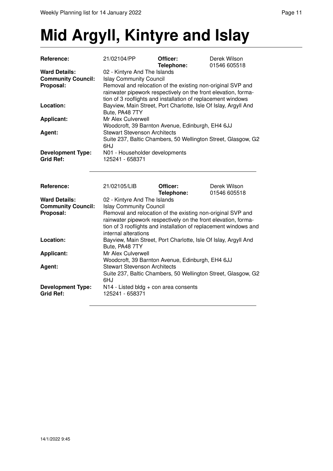## **Mid Argyll, Kintyre and Islay**

| Reference:                                                     | 21/02104/PP                                                                                                                                                                                                                                                                                 | Officer:<br>Telephone:                           | Derek Wilson<br>01546 605518                                    |  |  |
|----------------------------------------------------------------|---------------------------------------------------------------------------------------------------------------------------------------------------------------------------------------------------------------------------------------------------------------------------------------------|--------------------------------------------------|-----------------------------------------------------------------|--|--|
| <b>Ward Details:</b><br><b>Community Council:</b><br>Proposal: | 02 - Kintyre And The Islands<br><b>Islay Community Council</b><br>Removal and relocation of the existing non-original SVP and<br>rainwater pipework respectively on the front elevation, forma-<br>tion of 3 rooflights and installation of replacement windows                             |                                                  |                                                                 |  |  |
| Location:                                                      | Bute, PA48 7TY                                                                                                                                                                                                                                                                              |                                                  | Bayview, Main Street, Port Charlotte, Isle Of Islay, Argyll And |  |  |
| <b>Applicant:</b>                                              | Mr Alex Culverwell                                                                                                                                                                                                                                                                          | Woodcroft, 39 Barnton Avenue, Edinburgh, EH4 6JJ |                                                                 |  |  |
| Agent:                                                         | <b>Stewart Stevenson Architects</b><br>Suite 237, Baltic Chambers, 50 Wellington Street, Glasgow, G2<br>6HJ                                                                                                                                                                                 |                                                  |                                                                 |  |  |
| <b>Development Type:</b><br><b>Grid Ref:</b>                   | N01 - Householder developments<br>125241 - 658371                                                                                                                                                                                                                                           |                                                  |                                                                 |  |  |
| Reference:                                                     | 21/02105/LIB                                                                                                                                                                                                                                                                                | Officer:<br>Telephone:                           | Derek Wilson<br>01546 605518                                    |  |  |
| <b>Ward Details:</b><br><b>Community Council:</b><br>Proposal: | 02 - Kintyre And The Islands<br><b>Islay Community Council</b><br>Removal and relocation of the existing non-original SVP and<br>rainwater pipework respectively on the front elevation, forma-<br>tion of 3 rooflights and installation of replacement windows and<br>internal alterations |                                                  |                                                                 |  |  |
| Location:                                                      | Bayview, Main Street, Port Charlotte, Isle Of Islay, Argyll And<br>Bute, PA48 7TY                                                                                                                                                                                                           |                                                  |                                                                 |  |  |
| <b>Applicant:</b>                                              | Mr Alex Culverwell                                                                                                                                                                                                                                                                          | Woodcroft, 39 Barnton Avenue, Edinburgh, EH4 6JJ |                                                                 |  |  |
| Agent:                                                         | <b>Stewart Stevenson Architects</b><br>Suite 237, Baltic Chambers, 50 Wellington Street, Glasgow, G2<br>6HJ                                                                                                                                                                                 |                                                  |                                                                 |  |  |
| <b>Development Type:</b><br><b>Grid Ref:</b>                   | 125241 - 658371                                                                                                                                                                                                                                                                             | N14 - Listed bldg + con area consents            |                                                                 |  |  |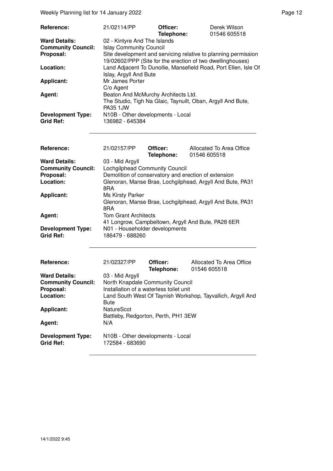Weekly Planning list for 14 January 2022 **Page 12** Page 12

| Reference:                                                                  | 21/02114/PP                                                                                                                                                                                    | Officer:<br>Telephone: | Derek Wilson<br>01546 605518                                    |  |  |
|-----------------------------------------------------------------------------|------------------------------------------------------------------------------------------------------------------------------------------------------------------------------------------------|------------------------|-----------------------------------------------------------------|--|--|
| <b>Ward Details:</b><br><b>Community Council:</b><br>Proposal:              | 02 - Kintyre And The Islands<br><b>Islay Community Council</b><br>Site development and servicing relative to planning permission<br>19/02602/PPP (Site for the erection of two dwellinghouses) |                        |                                                                 |  |  |
| Location:                                                                   | Islay, Argyll And Bute                                                                                                                                                                         |                        | Land Adjacent To Dunollie, Mansefield Road, Port Ellen, Isle Of |  |  |
| <b>Applicant:</b>                                                           | Mr James Porter<br>C/o Agent                                                                                                                                                                   |                        |                                                                 |  |  |
| Agent:                                                                      | Beaton And McMurchy Architects Ltd.<br>PA35 1JW                                                                                                                                                |                        | The Studio, Tigh Na Glaic, Taynuilt, Oban, Argyll And Bute,     |  |  |
| <b>Development Type:</b><br><b>Grid Ref:</b>                                | N10B - Other developments - Local<br>136982 - 645384                                                                                                                                           |                        |                                                                 |  |  |
| Reference:                                                                  | 21/02157/PP                                                                                                                                                                                    | Officer:<br>Telephone: | Allocated To Area Office<br>01546 605518                        |  |  |
| <b>Ward Details:</b><br><b>Community Council:</b><br>Proposal:<br>Location: | 03 - Mid Argyll<br>Lochgilphead Community Council<br>Demolition of conservatory and erection of extension<br>Glenoran, Manse Brae, Lochgilphead, Argyll And Bute, PA31<br>8RA                  |                        |                                                                 |  |  |
| <b>Applicant:</b>                                                           | Ms Kirsty Parker<br>Glenoran, Manse Brae, Lochgilphead, Argyll And Bute, PA31<br>8RA                                                                                                           |                        |                                                                 |  |  |
| Agent:                                                                      | <b>Tom Grant Architects</b><br>41 Longrow, Campbeltown, Argyll And Bute, PA28 6ER                                                                                                              |                        |                                                                 |  |  |
| <b>Development Type:</b><br><b>Grid Ref:</b>                                | N01 - Householder developments<br>186479 - 688260                                                                                                                                              |                        |                                                                 |  |  |
| Reference:                                                                  | 21/02327/PP                                                                                                                                                                                    | Officer:<br>Telephone: | Allocated To Area Office<br>01546 605518                        |  |  |
| <b>Ward Details:</b><br><b>Community Council:</b><br>Proposal:<br>Location: | 03 - Mid Argyll<br>North Knapdale Community Council<br>Installation of a waterless toilet unit<br>Land South West Of Taynish Workshop, Tayvallich, Argyll And                                  |                        |                                                                 |  |  |
| <b>Applicant:</b><br>Agent:                                                 | <b>Bute</b><br>NatureScot<br>Battleby, Redgorton, Perth, PH1 3EW<br>N/A                                                                                                                        |                        |                                                                 |  |  |
| <b>Development Type:</b><br><b>Grid Ref:</b>                                | N10B - Other developments - Local<br>172584 - 683690                                                                                                                                           |                        |                                                                 |  |  |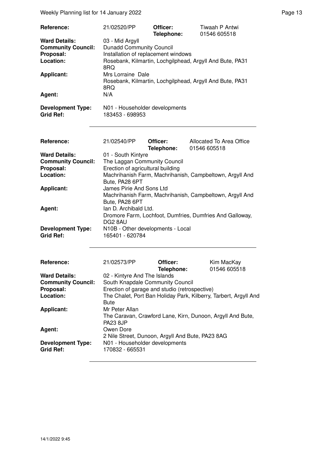Weekly Planning list for 14 January 2022 **Page 13** Page 13

| Reference:                                   | 21/02520/PP                                       | Officer:<br>Telephone: | Tiwaah P Antwi<br>01546 605518                           |
|----------------------------------------------|---------------------------------------------------|------------------------|----------------------------------------------------------|
| <b>Ward Details:</b>                         | 03 - Mid Argyll                                   |                        |                                                          |
| <b>Community Council:</b>                    | <b>Dunadd Community Council</b>                   |                        |                                                          |
| Proposal:                                    | Installation of replacement windows               |                        |                                                          |
| Location:                                    | 8RQ                                               |                        | Rosebank, Kilmartin, Lochgilphead, Argyll And Bute, PA31 |
| <b>Applicant:</b>                            | Mrs Lorraine Dale<br>8RQ                          |                        | Rosebank, Kilmartin, Lochgilphead, Argyll And Bute, PA31 |
| Agent:                                       | N/A                                               |                        |                                                          |
| <b>Development Type:</b><br><b>Grid Ref:</b> | N01 - Householder developments<br>183453 - 698953 |                        |                                                          |

| <b>Reference:</b>         | 21/02540/PP                       | Officer:<br>Telephone: | Allocated To Area Office<br>01546 605518                 |
|---------------------------|-----------------------------------|------------------------|----------------------------------------------------------|
| <b>Ward Details:</b>      | 01 - South Kintyre                |                        |                                                          |
| <b>Community Council:</b> | The Laggan Community Council      |                        |                                                          |
| Proposal:                 | Erection of agricultural building |                        |                                                          |
| Location:                 |                                   |                        | Machrihanish Farm, Machrihanish, Campbeltown, Argyll And |
|                           | Bute, PA28 6PT                    |                        |                                                          |
| <b>Applicant:</b>         | James Pirie And Sons Ltd          |                        |                                                          |
|                           |                                   |                        | Machrihanish Farm, Machrihanish, Campbeltown, Argyll And |
|                           | Bute, PA28 6PT                    |                        |                                                          |
| Agent:                    | Ian D. Archibald Ltd.             |                        |                                                          |
|                           |                                   |                        | Dromore Farm, Lochfoot, Dumfries, Dumfries And Galloway, |
|                           | DG2 8AU                           |                        |                                                          |
| <b>Development Type:</b>  | N10B - Other developments - Local |                        |                                                          |
| <b>Grid Ref:</b>          | 165401 - 620784                   |                        |                                                          |

| Reference:                                   | 21/02573/PP                                                                                     | Officer:<br>Telephone: | Kim MacKay<br>01546 605518 |
|----------------------------------------------|-------------------------------------------------------------------------------------------------|------------------------|----------------------------|
| <b>Ward Details:</b>                         | 02 - Kintyre And The Islands                                                                    |                        |                            |
| <b>Community Council:</b>                    | South Knapdale Community Council                                                                |                        |                            |
| Proposal:                                    | Erection of garage and studio (retrospective)                                                   |                        |                            |
| Location:                                    | The Chalet, Port Ban Holiday Park, Kilberry, Tarbert, Argyll And<br><b>Bute</b>                 |                        |                            |
| <b>Applicant:</b>                            | Mr Peter Allan<br>The Caravan, Crawford Lane, Kirn, Dunoon, Argyll And Bute,<br><b>PA23 8JP</b> |                        |                            |
| Agent:                                       | Owen Dore<br>2 Nile Street, Dunoon, Argyll And Bute, PA23 8AG                                   |                        |                            |
| <b>Development Type:</b><br><b>Grid Ref:</b> | N01 - Householder developments<br>170832 - 665531                                               |                        |                            |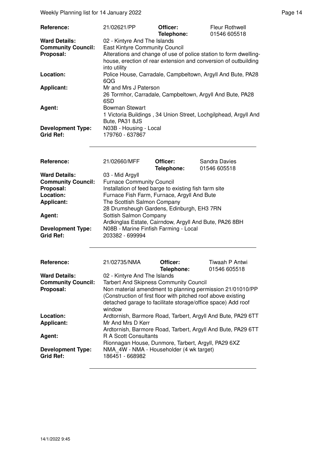Weekly Planning list for 14 January 2022 **Page 14** and the state of the Page 14 and the Page 14

| <b>Reference:</b>                            | 21/02621/PP                                                                                                                                          | Officer:<br>Telephone: | Fleur Rothwell<br>01546 605518 |
|----------------------------------------------|------------------------------------------------------------------------------------------------------------------------------------------------------|------------------------|--------------------------------|
| <b>Ward Details:</b>                         | 02 - Kintyre And The Islands                                                                                                                         |                        |                                |
| <b>Community Council:</b>                    | <b>East Kintyre Community Council</b>                                                                                                                |                        |                                |
| Proposal:                                    | Alterations and change of use of police station to form dwelling-<br>house, erection of rear extension and conversion of outbuilding<br>into utility |                        |                                |
| Location:                                    | Police House, Carradale, Campbeltown, Argyll And Bute, PA28<br>6QG                                                                                   |                        |                                |
| <b>Applicant:</b>                            | Mr and Mrs J Paterson<br>26 Tormhor, Carradale, Campbeltown, Argyll And Bute, PA28<br>6SD                                                            |                        |                                |
| Agent:                                       | <b>Bowman Stewart</b><br>1 Victoria Buildings, 34 Union Street, Lochgilphead, Argyll And<br>Bute, PA31 8JS                                           |                        |                                |
| <b>Development Type:</b><br><b>Grid Ref:</b> | N03B - Housing - Local<br>179760 - 637867                                                                                                            |                        |                                |

| Reference:                                   | 21/02660/MFF                                             | Officer:<br>Telephone: | Sandra Davies<br>01546 605518 |
|----------------------------------------------|----------------------------------------------------------|------------------------|-------------------------------|
| <b>Ward Details:</b>                         | 03 - Mid Argyll                                          |                        |                               |
| <b>Community Council:</b>                    | <b>Furnace Community Council</b>                         |                        |                               |
| Proposal:                                    | Installation of feed barge to existing fish farm site    |                        |                               |
| Location:                                    | Furnace Fish Farm, Furnace, Argyll And Bute              |                        |                               |
| <b>Applicant:</b>                            | The Scottish Salmon Company                              |                        |                               |
|                                              | 28 Drumsheugh Gardens, Edinburgh, EH3 7RN                |                        |                               |
| Agent:                                       | Sottish Salmon Company                                   |                        |                               |
|                                              | Ardkinglas Estate, Cairndow, Argyll And Bute, PA26 8BH   |                        |                               |
| <b>Development Type:</b><br><b>Grid Ref:</b> | N08B - Marine Finfish Farming - Local<br>203382 - 699994 |                        |                               |

| Reference:                                   | 21/02735/NMA                                                                                                                                                                                                                                          | Officer:<br>Telephone: | Tiwaah P Antwi<br>01546 605518 |  |  |
|----------------------------------------------|-------------------------------------------------------------------------------------------------------------------------------------------------------------------------------------------------------------------------------------------------------|------------------------|--------------------------------|--|--|
| <b>Ward Details:</b>                         | 02 - Kintyre And The Islands                                                                                                                                                                                                                          |                        |                                |  |  |
| <b>Community Council:</b><br>Proposal:       | <b>Tarbert And Skipness Community Council</b><br>Non material amendment to planning permission 21/01010/PP<br>(Construction of first floor with pitched roof above existing<br>detached garage to facilitate storage/office space) Add roof<br>window |                        |                                |  |  |
| Location:<br><b>Applicant:</b>               | Ardtornish, Barmore Road, Tarbert, Argyll And Bute, PA29 6TT<br>Mr And Mrs D Kerr<br>Ardtornish, Barmore Road, Tarbert, Argyll And Bute, PA29 6TT<br><b>R A Scott Consultants</b><br>Rionnagan House, Dunmore, Tarbert, Argyll, PA29 6XZ              |                        |                                |  |  |
| Agent:                                       |                                                                                                                                                                                                                                                       |                        |                                |  |  |
| <b>Development Type:</b><br><b>Grid Ref:</b> | NMA 4W - NMA - Householder (4 wk target)<br>186451 - 668982                                                                                                                                                                                           |                        |                                |  |  |